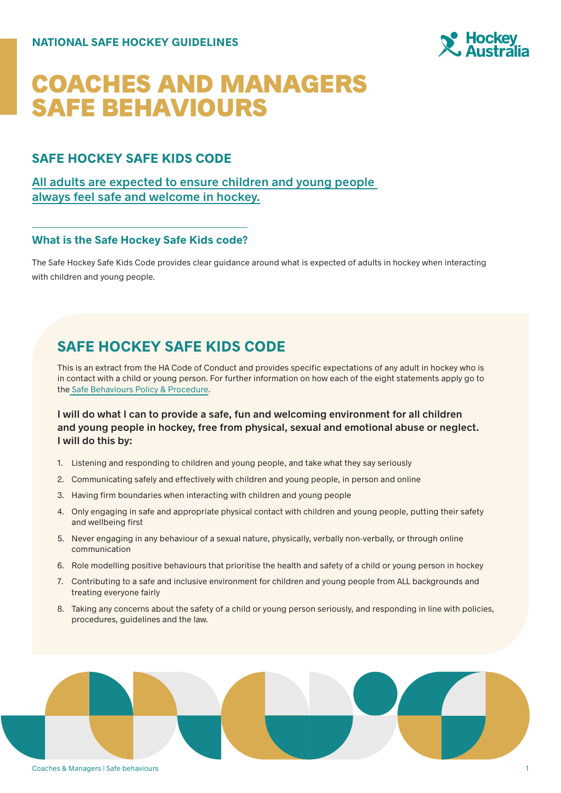

# COACHES AND MANAGERS SAFE BEHAVIOURS

### **SAFE HOCKEY SAFE KIDS CODE**

**All adults are expected to ensure children and young people always feel safe and welcome in hockey.**

### **What is the Safe Hockey Safe Kids code?**

The Safe Hockey Safe Kids Code provides clear guidance around what is expected of adults in hockey when interacting with children and young people.

# **SAFE HOCKEY SAFE KIDS CODE**

This is an extract from the HA Code of Conduct and provides specific expectations of any adult in hockey who is in contact with a child or young person. For further information on how each of the eight statements apply go to the Safe Behaviours Policy & Procedure.

**I will do what I can to provide a safe, fun and welcoming environment for all children and young people in hockey, free from physical, sexual and emotional abuse or neglect. I will do this by:**

- 1. Listening and responding to children and young people, and take what they say seriously
- 2. Communicating safely and effectively with children and young people, in person and online
- 3. Having firm boundaries when interacting with children and young people
- 4. Only engaging in safe and appropriate physical contact with children and young people, putting their safety and wellbeing first
- 5. Never engaging in any behaviour of a sexual nature, physically, verbally non-verbally, or through online communication
- 6. Role modelling positive behaviours that prioritise the health and safety of a child or young person in hockey
- 7. Contributing to a safe and inclusive environment for children and young people from ALL backgrounds and treating everyone fairly
- 8. Taking any concerns about the safety of a child or young person seriously, and responding in line with policies, procedures, guidelines and the law.



#### Coaches & Managers | Safe behaviours 1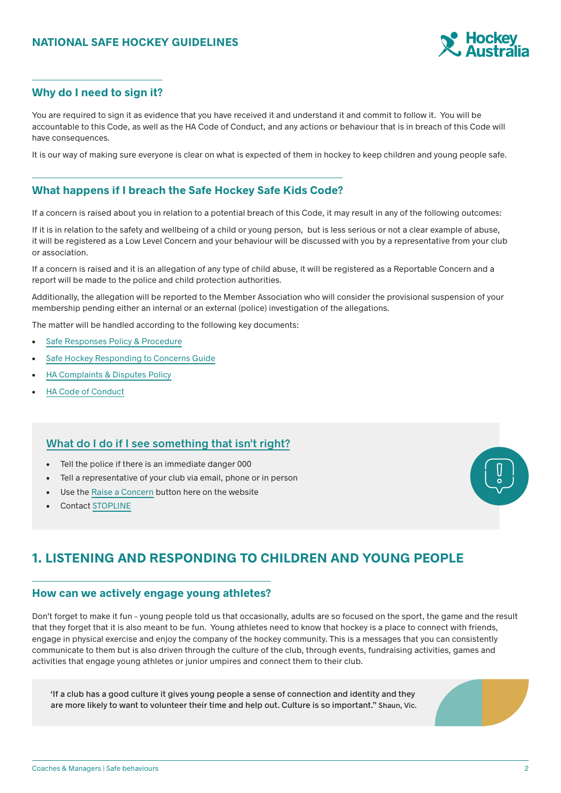

### **Why do I need to sign it?**

You are required to sign it as evidence that you have received it and understand it and commit to follow it. You will be accountable to this Code, as well as the HA Code of Conduct, and any actions or behaviour that is in breach of this Code will have consequences.

It is our way of making sure everyone is clear on what is expected of them in hockey to keep children and young people safe.

### **What happens if I breach the Safe Hockey Safe Kids Code?**

If a concern is raised about you in relation to a potential breach of this Code, it may result in any of the following outcomes:

If it is in relation to the safety and wellbeing of a child or young person, but is less serious or not a clear example of abuse, it will be registered as a Low Level Concern and your behaviour will be discussed with you by a representative from your club or association.

If a concern is raised and it is an allegation of any type of child abuse, it will be registered as a Reportable Concern and a report will be made to the police and child protection authorities.

Additionally, the allegation will be reported to the Member Association who will consider the provisional suspension of your membership pending either an internal or an external (police) investigation of the allegations.

The matter will be handled according to the following key documents:

- Safe Responses Policy & Procedure
- Safe Hockey Responding to Concerns Guide
- HA Complaints & Disputes Policy
- HA Code of Conduct

### **What do I do if I see something that isn't right?**

- Tell the police if there is an immediate danger 000
- Tell a representative of your club via email, phone or in person
- Use the Raise a Concern button here on the website
- Contact STOPLINE



# **1. LISTENING AND RESPONDING TO CHILDREN AND YOUNG PEOPLE**

### **How can we actively engage young athletes?**

Don't forget to make it fun – young people told us that occasionally, adults are so focused on the sport, the game and the result that they forget that it is also meant to be fun. Young athletes need to know that hockey is a place to connect with friends, engage in physical exercise and enjoy the company of the hockey community. This is a messages that you can consistently communicate to them but is also driven through the culture of the club, through events, fundraising activities, games and activities that engage young athletes or junior umpires and connect them to their club.

'If a club has a good culture it gives young people a sense of connection and identity and they are more likely to want to volunteer their time and help out. Culture is so important." Shaun, Vic.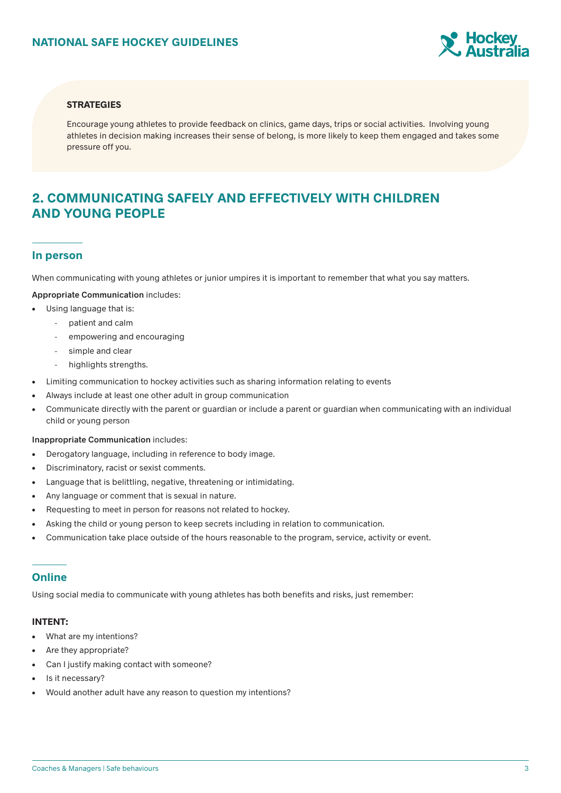

#### **STRATEGIES**

Encourage young athletes to provide feedback on clinics, game days, trips or social activities. Involving young athletes in decision making increases their sense of belong, is more likely to keep them engaged and takes some pressure off you.

### **2. COMMUNICATING SAFELY AND EFFECTIVELY WITH CHILDREN AND YOUNG PEOPLE**

#### **In person**

When communicating with young athletes or junior umpires it is important to remember that what you say matters.

**Appropriate Communication** includes:

- Using language that is:
	- patient and calm
		- empowering and encouraging
		- simple and clear
	- highlights strengths.
- Limiting communication to hockey activities such as sharing information relating to events
- Always include at least one other adult in group communication
- Communicate directly with the parent or guardian or include a parent or guardian when communicating with an individual child or young person

#### **Inappropriate Communication** includes:

- Derogatory language, including in reference to body image.
- Discriminatory, racist or sexist comments.
- Language that is belittling, negative, threatening or intimidating.
- Any language or comment that is sexual in nature.
- Requesting to meet in person for reasons not related to hockey.
- Asking the child or young person to keep secrets including in relation to communication.
- Communication take place outside of the hours reasonable to the program, service, activity or event.

### **Online**

Using social media to communicate with young athletes has both benefits and risks, just remember:

#### **INTENT:**

- What are my intentions?
- Are they appropriate?
- Can I justify making contact with someone?
- Is it necessary?
- Would another adult have any reason to question my intentions?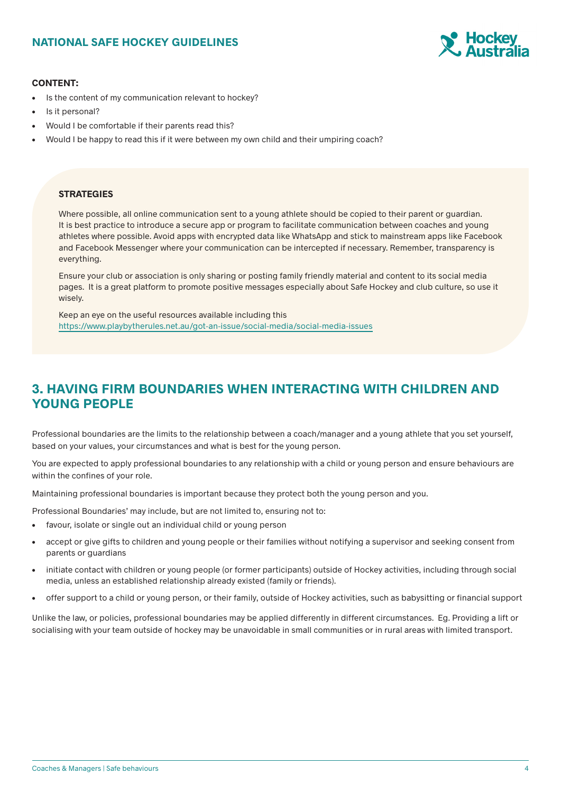### **NATIONAL SAFE HOCKEY GUIDELINES**



#### **CONTENT:**

- Is the content of my communication relevant to hockey?
- Is it personal?
- Would I be comfortable if their parents read this?
- Would I be happy to read this if it were between my own child and their umpiring coach?

#### **STRATEGIES**

Where possible, all online communication sent to a young athlete should be copied to their parent or guardian. It is best practice to introduce a secure app or program to facilitate communication between coaches and young athletes where possible. Avoid apps with encrypted data like WhatsApp and stick to mainstream apps like Facebook and Facebook Messenger where your communication can be intercepted if necessary. Remember, transparency is everything.

Ensure your club or association is only sharing or posting family friendly material and content to its social media pages. It is a great platform to promote positive messages especially about Safe Hockey and club culture, so use it wisely.

Keep an eye on the useful resources available including this https://www.playbytherules.net.au/got-an-issue/social-media/social-media-issues

# **3. HAVING FIRM BOUNDARIES WHEN INTERACTING WITH CHILDREN AND YOUNG PEOPLE**

Professional boundaries are the limits to the relationship between a coach/manager and a young athlete that you set yourself, based on your values, your circumstances and what is best for the young person.

You are expected to apply professional boundaries to any relationship with a child or young person and ensure behaviours are within the confines of your role.

Maintaining professional boundaries is important because they protect both the young person and you.

- Professional Boundaries' may include, but are not limited to, ensuring not to:
- favour, isolate or single out an individual child or young person
- accept or give gifts to children and young people or their families without notifying a supervisor and seeking consent from parents or guardians
- initiate contact with children or young people (or former participants) outside of Hockey activities, including through social media, unless an established relationship already existed (family or friends).
- offer support to a child or young person, or their family, outside of Hockey activities, such as babysitting or financial support

Unlike the law, or policies, professional boundaries may be applied differently in different circumstances. Eq. Providing a lift or socialising with your team outside of hockey may be unavoidable in small communities or in rural areas with limited transport.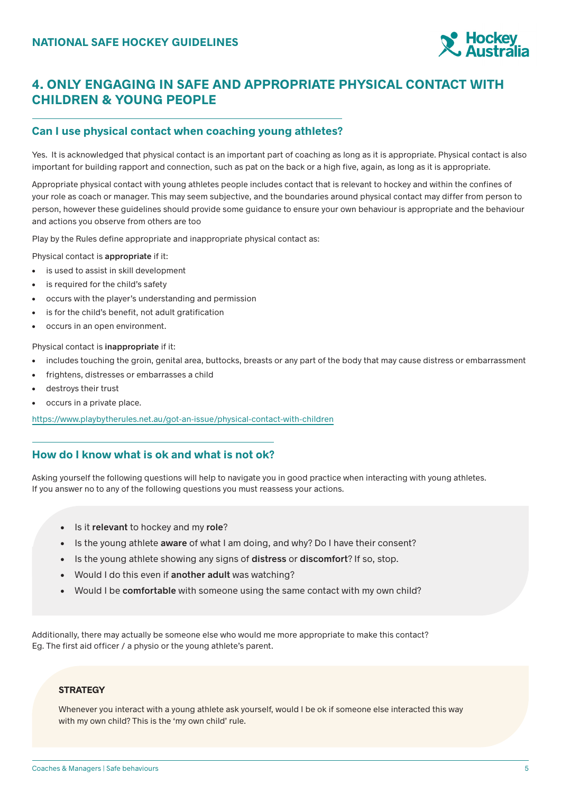

# **4. ONLY ENGAGING IN SAFE AND APPROPRIATE PHYSICAL CONTACT WITH CHILDREN & YOUNG PEOPLE**

### **Can I use physical contact when coaching young athletes?**

Yes. It is acknowledged that physical contact is an important part of coaching as long as it is appropriate. Physical contact is also important for building rapport and connection, such as pat on the back or a high five, again, as long as it is appropriate.

Appropriate physical contact with young athletes people includes contact that is relevant to hockey and within the confines of your role as coach or manager. This may seem subjective, and the boundaries around physical contact may differ from person to person, however these guidelines should provide some guidance to ensure your own behaviour is appropriate and the behaviour and actions you observe from others are too

Play by the Rules define appropriate and inappropriate physical contact as:

Physical contact is **appropriate** if it:

- is used to assist in skill development
- is required for the child's safety
- occurs with the player's understanding and permission
- is for the child's benefit, not adult gratification
- occurs in an open environment.

Physical contact is **inappropriate** if it:

- includes touching the groin, genital area, buttocks, breasts or any part of the body that may cause distress or embarrassment
- frightens, distresses or embarrasses a child
- destroys their trust
- occurs in a private place.

https://www.playbytherules.net.au/got-an-issue/physical-contact-with-children

### **How do I know what is ok and what is not ok?**

Asking yourself the following questions will help to navigate you in good practice when interacting with young athletes. If you answer no to any of the following questions you must reassess your actions.

- Is it **relevant** to hockey and my **role**?
- Is the young athlete **aware** of what I am doing, and why? Do I have their consent?
- Is the young athlete showing any signs of **distress** or **discomfort**? If so, stop.
- Would I do this even if **another adult** was watching?
- Would I be **comfortable** with someone using the same contact with my own child?

Additionally, there may actually be someone else who would me more appropriate to make this contact? Eg. The first aid officer / a physio or the young athlete's parent.

#### **STRATEGY**

Whenever you interact with a young athlete ask yourself, would I be ok if someone else interacted this way with my own child? This is the 'my own child' rule.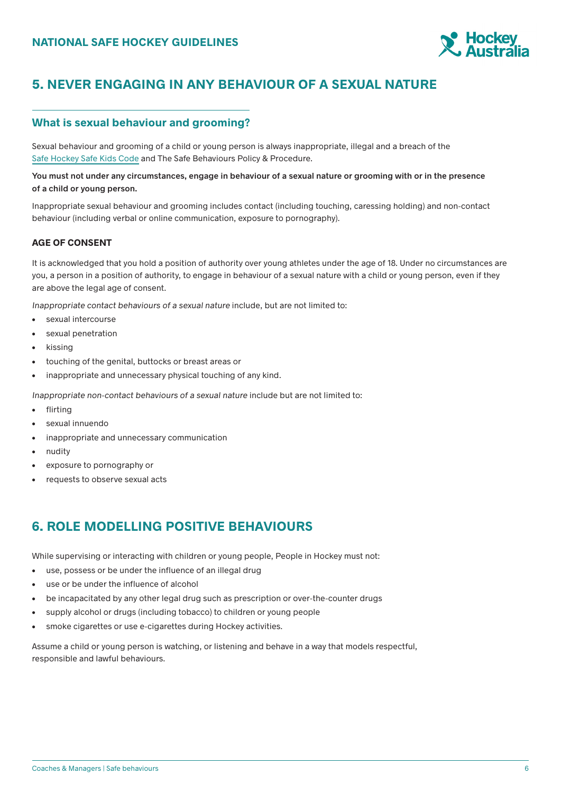

# **5. NEVER ENGAGING IN ANY BEHAVIOUR OF A SEXUAL NATURE**

### **What is sexual behaviour and grooming?**

Sexual behaviour and grooming of a child or young person is always inappropriate, illegal and a breach of the Safe Hockey Safe Kids Code and The Safe Behaviours Policy & Procedure.

#### **You must not under any circumstances, engage in behaviour of a sexual nature or grooming with or in the presence of a child or young person.**

Inappropriate sexual behaviour and grooming includes contact (including touching, caressing holding) and non-contact behaviour (including verbal or online communication, exposure to pornography).

### **AGE OF CONSENT**

It is acknowledged that you hold a position of authority over young athletes under the age of 18. Under no circumstances are you, a person in a position of authority, to engage in behaviour of a sexual nature with a child or young person, even if they are above the legal age of consent.

Inappropriate contact behaviours of a sexual nature include, but are not limited to:

- sexual intercourse
- sexual penetration
- kissing
- touching of the genital, buttocks or breast areas or
- inappropriate and unnecessary physical touching of any kind.

Inappropriate non-contact behaviours of a sexual nature include but are not limited to:

- flirting
- sexual innuendo
- inappropriate and unnecessary communication
- nudity
- exposure to pornography or
- requests to observe sexual acts

# **6. ROLE MODELLING POSITIVE BEHAVIOURS**

While supervising or interacting with children or young people, People in Hockey must not:

- use, possess or be under the influence of an illegal drug
- use or be under the influence of alcohol
- be incapacitated by any other legal drug such as prescription or over-the-counter drugs
- supply alcohol or drugs (including tobacco) to children or young people
- smoke cigarettes or use e-cigarettes during Hockey activities.

Assume a child or young person is watching, or listening and behave in a way that models respectful, responsible and lawful behaviours.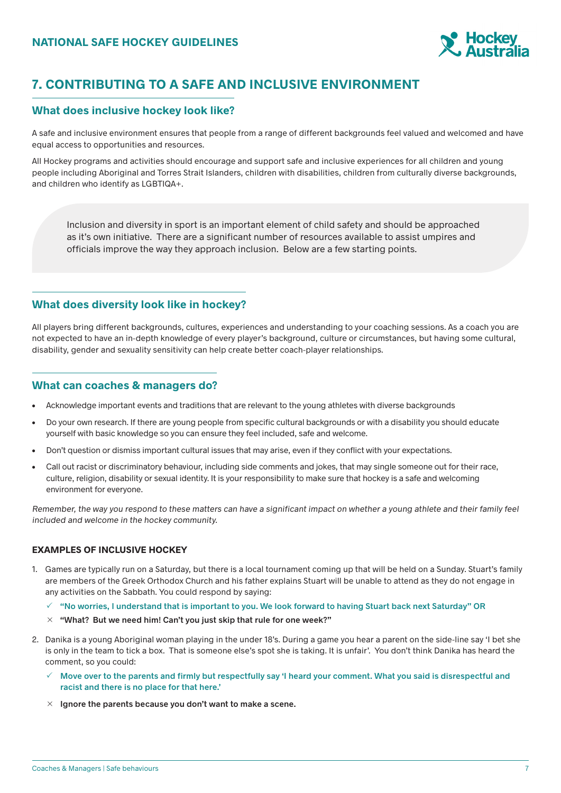

# **7. CONTRIBUTING TO A SAFE AND INCLUSIVE ENVIRONMENT**

### **What does inclusive hockey look like?**

A safe and inclusive environment ensures that people from a range of different backgrounds feel valued and welcomed and have equal access to opportunities and resources.

All Hockey programs and activities should encourage and support safe and inclusive experiences for all children and young people including Aboriginal and Torres Strait Islanders, children with disabilities, children from culturally diverse backgrounds, and children who identify as LGBTIQA+.

Inclusion and diversity in sport is an important element of child safety and should be approached as it's own initiative. There are a significant number of resources available to assist umpires and officials improve the way they approach inclusion. Below are a few starting points.

### **What does diversity look like in hockey?**

All players bring different backgrounds, cultures, experiences and understanding to your coaching sessions. As a coach you are not expected to have an in-depth knowledge of every player's background, culture or circumstances, but having some cultural, disability, gender and sexuality sensitivity can help create better coach-player relationships.

### **What can coaches & managers do?**

- Acknowledge important events and traditions that are relevant to the young athletes with diverse backgrounds
- Do your own research. If there are young people from specific cultural backgrounds or with a disability you should educate yourself with basic knowledge so you can ensure they feel included, safe and welcome.
- Don't question or dismiss important cultural issues that may arise, even if they conflict with your expectations.
- Call out racist or discriminatory behaviour, including side comments and jokes, that may single someone out for their race, culture, religion, disability or sexual identity. It is your responsibility to make sure that hockey is a safe and welcoming environment for everyone.

Remember, the way you respond to these matters can have a significant impact on whether a young athlete and their family feel included and welcome in the hockey community.

### **EXAMPLES OF INCLUSIVE HOCKEY**

- 1. Games are typically run on a Saturday, but there is a local tournament coming up that will be held on a Sunday. Stuart's family are members of the Greek Orthodox Church and his father explains Stuart will be unable to attend as they do not engage in any activities on the Sabbath. You could respond by saying:
	- **"No worries, I understand that is important to you. We look forward to having Stuart back next Saturday" OR**
	- **"What? But we need him! Can't you just skip that rule for one week?"**
- 2. Danika is a young Aboriginal woman playing in the under 18's. During a game you hear a parent on the side-line say 'I bet she is only in the team to tick a box. That is someone else's spot she is taking. It is unfair'. You don't think Danika has heard the comment, so you could:
	- **Move over to the parents and firmly but respectfully say 'I heard your comment. What you said is disrespectful and racist and there is no place for that here.'**
	- **Ignore the parents because you don't want to make a scene.**